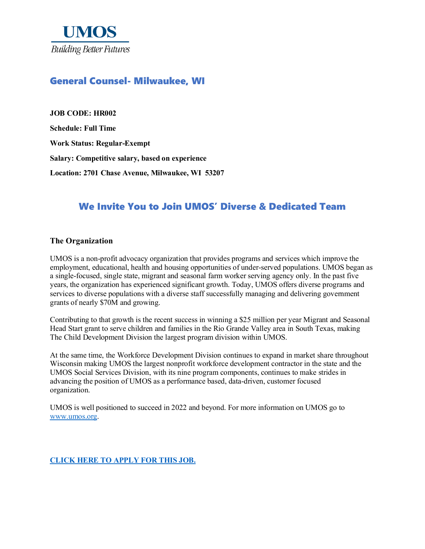

## General Counsel- Milwaukee, WI

**JOB CODE: HR002 Schedule: Full Time Work Status: Regular-Exempt Salary: Competitive salary, based on experience Location: 2701 Chase Avenue, Milwaukee, WI 53207**

# We Invite You to Join UMOS' Diverse & Dedicated Team

#### **The Organization**

UMOS is a non-profit advocacy organization that provides programs and services which improve the employment, educational, health and housing opportunities of under-served populations. UMOS began as a single-focused, single state, migrant and seasonal farm worker serving agency only. In the past five years, the organization has experienced significant growth. Today, UMOS offers diverse programs and services to diverse populations with a diverse staff successfully managing and delivering government grants of nearly \$70M and growing.

Contributing to that growth is the recent success in winning a \$25 million per year Migrant and Seasonal Head Start grant to serve children and families in the Rio Grande Valley area in South Texas, making The Child Development Division the largest program division within UMOS.

At the same time, the Workforce Development Division continues to expand in market share throughout Wisconsin making UMOS the largest nonprofit workforce development contractor in the state and the UMOS Social Services Division, with its nine program components, continues to make strides in advancing the position of UMOS as a performance based, data-driven, customer focused organization.

UMOS is well positioned to succeed in 2022 and beyond. For more information on UMOS go to [www.umos.org.](http://www.umos.org/)

**[CLICK HERE TO APPLY FOR THIS JOB.](https://www.umos.org/job-application/)**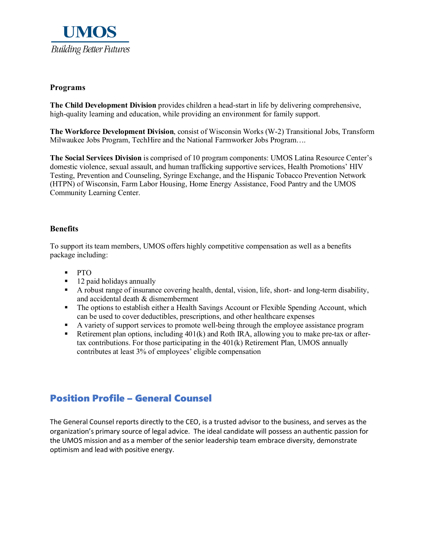

#### **Programs**

**The Child Development Division** provides children a head-start in life by delivering comprehensive, high-quality learning and education, while providing an environment for family support.

**The Workforce Development Division**, consist of Wisconsin Works (W-2) Transitional Jobs, Transform Milwaukee Jobs Program, TechHire and the National Farmworker Jobs Program….

**The Social Services Division** is comprised of 10 program components: UMOS Latina Resource Center's domestic violence, sexual assault, and human trafficking supportive services, Health Promotions' HIV Testing, Prevention and Counseling, Syringe Exchange, and the Hispanic Tobacco Prevention Network (HTPN) of Wisconsin, Farm Labor Housing, Home Energy Assistance, Food Pantry and the UMOS Community Learning Center.

#### **Benefits**

To support its team members, UMOS offers highly competitive compensation as well as a benefits package including:

- PTO
- 12 paid holidays annually
- A robust range of insurance covering health, dental, vision, life, short- and long-term disability, and accidental death & dismemberment
- The options to establish either a Health Savings Account or Flexible Spending Account, which can be used to cover deductibles, prescriptions, and other healthcare expenses
- A variety of support services to promote well-being through the employee assistance program
- Retirement plan options, including  $401(k)$  and Roth IRA, allowing you to make pre-tax or aftertax contributions. For those participating in the 401(k) Retirement Plan, UMOS annually contributes at least 3% of employees' eligible compensation

## Position Profile – General Counsel

The General Counsel reports directly to the CEO, is a trusted advisor to the business, and serves as the organization's primary source of legal advice. The ideal candidate will possess an authentic passion for the UMOS mission and as a member of the senior leadership team embrace diversity, demonstrate optimism and lead with positive energy.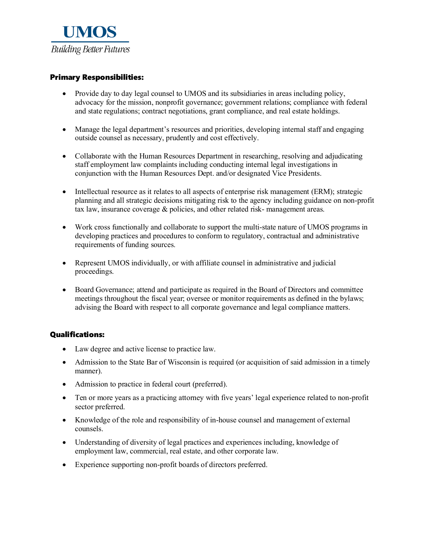

### Primary Responsibilities:

- Provide day to day legal counsel to UMOS and its subsidiaries in areas including policy, advocacy for the mission, nonprofit governance; government relations; compliance with federal and state regulations; contract negotiations, grant compliance, and real estate holdings.
- Manage the legal department's resources and priorities, developing internal staff and engaging outside counsel as necessary, prudently and cost effectively.
- Collaborate with the Human Resources Department in researching, resolving and adjudicating staff employment law complaints including conducting internal legal investigations in conjunction with the Human Resources Dept. and/or designated Vice Presidents.
- Intellectual resource as it relates to all aspects of enterprise risk management (ERM); strategic planning and all strategic decisions mitigating risk to the agency including guidance on non-profit tax law, insurance coverage & policies, and other related risk- management areas.
- Work cross functionally and collaborate to support the multi-state nature of UMOS programs in developing practices and procedures to conform to regulatory, contractual and administrative requirements of funding sources.
- Represent UMOS individually, or with affiliate counsel in administrative and judicial proceedings.
- Board Governance; attend and participate as required in the Board of Directors and committee meetings throughout the fiscal year; oversee or monitor requirements as defined in the bylaws; advising the Board with respect to all corporate governance and legal compliance matters.

#### Qualifications:

- Law degree and active license to practice law.
- Admission to the State Bar of Wisconsin is required (or acquisition of said admission in a timely manner).
- Admission to practice in federal court (preferred).
- Ten or more years as a practicing attorney with five years' legal experience related to non-profit sector preferred.
- Knowledge of the role and responsibility of in-house counsel and management of external counsels.
- Understanding of diversity of legal practices and experiences including, knowledge of employment law, commercial, real estate, and other corporate law.
- Experience supporting non-profit boards of directors preferred.